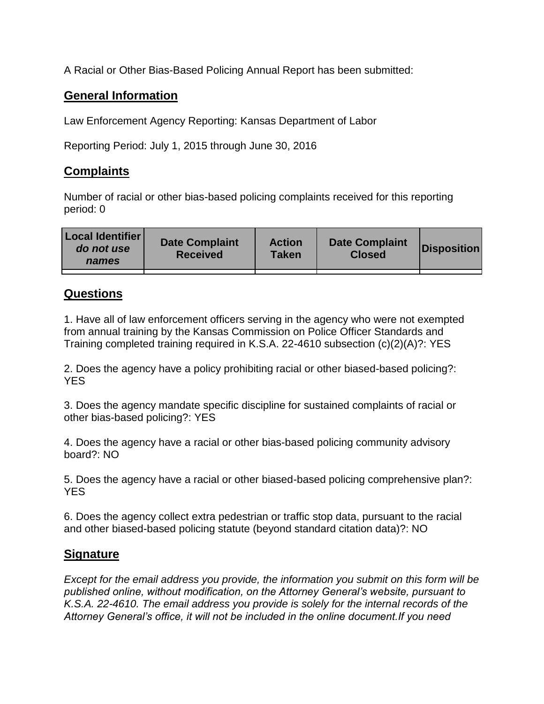A Racial or Other Bias-Based Policing Annual Report has been submitted:

## **General Information**

Law Enforcement Agency Reporting: Kansas Department of Labor

Reporting Period: July 1, 2015 through June 30, 2016

## **Complaints**

Number of racial or other bias-based policing complaints received for this reporting period: 0

| <b>Local Identifier</b><br>do not use<br>names | <b>Date Complaint</b><br><b>Received</b> | <b>Action</b><br><b>Taken</b> | <b>Date Complaint</b><br><b>Closed</b> | Disposition |
|------------------------------------------------|------------------------------------------|-------------------------------|----------------------------------------|-------------|
|                                                |                                          |                               |                                        |             |

## **Questions**

1. Have all of law enforcement officers serving in the agency who were not exempted from annual training by the Kansas Commission on Police Officer Standards and Training completed training required in K.S.A. 22-4610 subsection (c)(2)(A)?: YES

2. Does the agency have a policy prohibiting racial or other biased-based policing?: YES

3. Does the agency mandate specific discipline for sustained complaints of racial or other bias-based policing?: YES

4. Does the agency have a racial or other bias-based policing community advisory board?: NO

5. Does the agency have a racial or other biased-based policing comprehensive plan?: YES

6. Does the agency collect extra pedestrian or traffic stop data, pursuant to the racial and other biased-based policing statute (beyond standard citation data)?: NO

## **Signature**

*Except for the email address you provide, the information you submit on this form will be published online, without modification, on the Attorney General's website, pursuant to K.S.A. 22-4610. The email address you provide is solely for the internal records of the Attorney General's office, it will not be included in the online document.If you need*